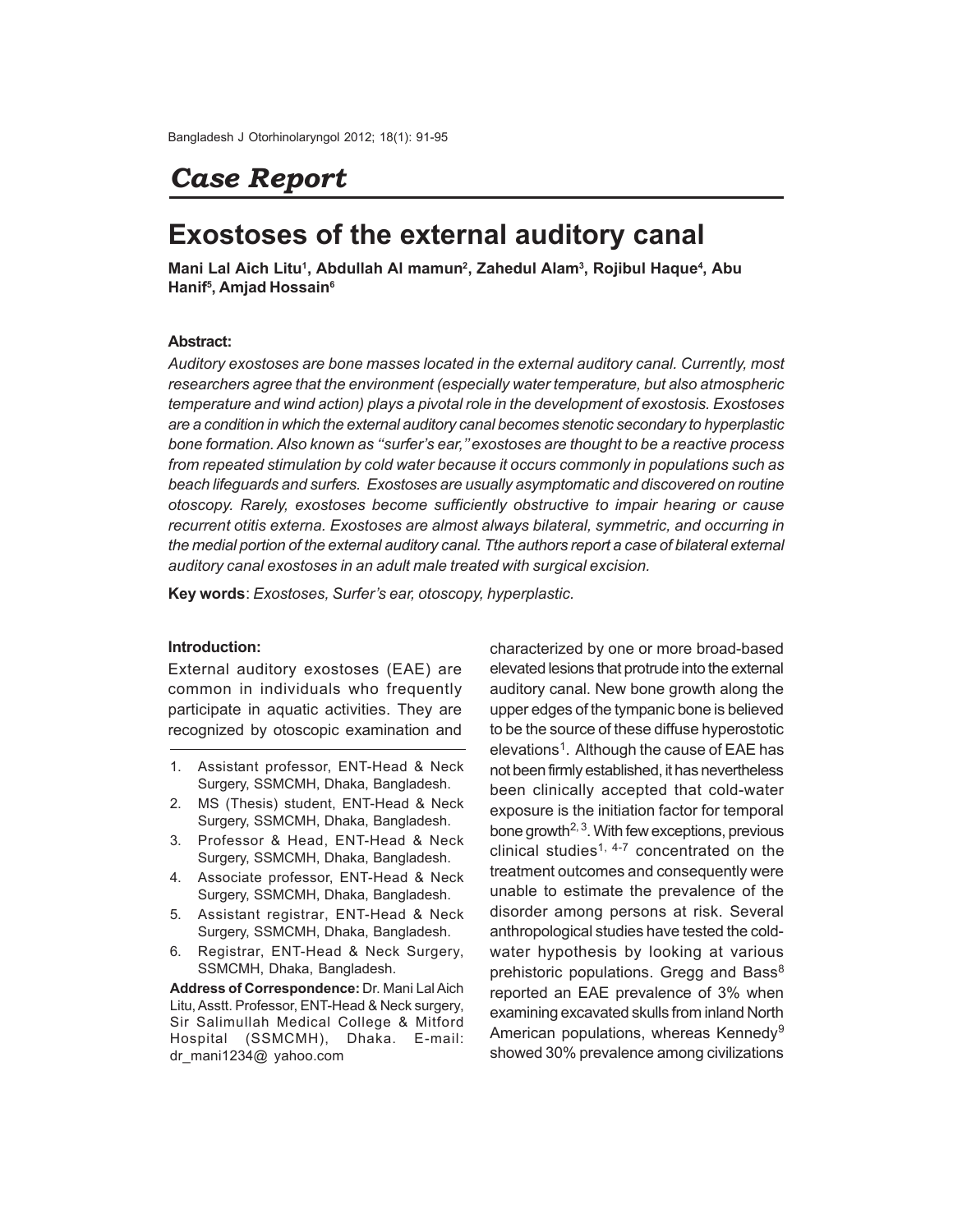# *Case Report*

# **Exostoses of the external auditory canal**

**Mani Lal Aich Litu<sup>1</sup> , Abdullah Al mamun<sup>2</sup> , Zahedul Alam<sup>3</sup> , Rojibul Haque<sup>4</sup> , Abu Hanif<sup>5</sup> , Amjad Hossain<sup>6</sup>**

## **Abstract:**

*Auditory exostoses are bone masses located in the external auditory canal. Currently, most researchers agree that the environment (especially water temperature, but also atmospheric temperature and wind action) plays a pivotal role in the development of exostosis. Exostoses are a condition in which the external auditory canal becomes stenotic secondary to hyperplastic bone formation. Also known as ''surfer's ear,'' exostoses are thought to be a reactive process from repeated stimulation by cold water because it occurs commonly in populations such as beach lifeguards and surfers. Exostoses are usually asymptomatic and discovered on routine otoscopy. Rarely, exostoses become sufficiently obstructive to impair hearing or cause recurrent otitis externa. Exostoses are almost always bilateral, symmetric, and occurring in the medial portion of the external auditory canal. Tthe authors report a case of bilateral external auditory canal exostoses in an adult male treated with surgical excision.*

**Key words**: *Exostoses, Surfer's ear, otoscopy, hyperplastic.*

## **Introduction:**

External auditory exostoses (EAE) are common in individuals who frequently participate in aquatic activities. They are recognized by otoscopic examination and

- 1. Assistant professor, ENT-Head & Neck Surgery, SSMCMH, Dhaka, Bangladesh.
- 2. MS (Thesis) student, ENT-Head & Neck Surgery, SSMCMH, Dhaka, Bangladesh.
- 3. Professor & Head, ENT-Head & Neck Surgery, SSMCMH, Dhaka, Bangladesh.
- 4. Associate professor, ENT-Head & Neck Surgery, SSMCMH, Dhaka, Bangladesh.
- 5. Assistant registrar, ENT-Head & Neck Surgery, SSMCMH, Dhaka, Bangladesh.
- 6. Registrar, ENT-Head & Neck Surgery, SSMCMH, Dhaka, Bangladesh.

**Address of Correspondence:** Dr. Mani Lal Aich Litu, Asstt. Professor, ENT-Head & Neck surgery, Sir Salimullah Medical College & Mitford Hospital (SSMCMH), Dhaka. E-mail: dr\_mani1234@ yahoo.com

characterized by one or more broad-based elevated lesions that protrude into the external auditory canal. New bone growth along the upper edges of the tympanic bone is believed to be the source of these diffuse hyperostotic elevations<sup>1</sup>. Although the cause of EAE has not been firmly established, it has nevertheless been clinically accepted that cold-water exposure is the initiation factor for temporal bone growth<sup> $2, 3$ </sup>. With few exceptions, previous clinical studies<sup>1, 4-7</sup> concentrated on the treatment outcomes and consequently were unable to estimate the prevalence of the disorder among persons at risk. Several anthropological studies have tested the coldwater hypothesis by looking at various prehistoric populations. Gregg and Bass<sup>8</sup> reported an EAE prevalence of 3% when examining excavated skulls from inland North American populations, whereas Kennedy<sup>9</sup> showed 30% prevalence among civilizations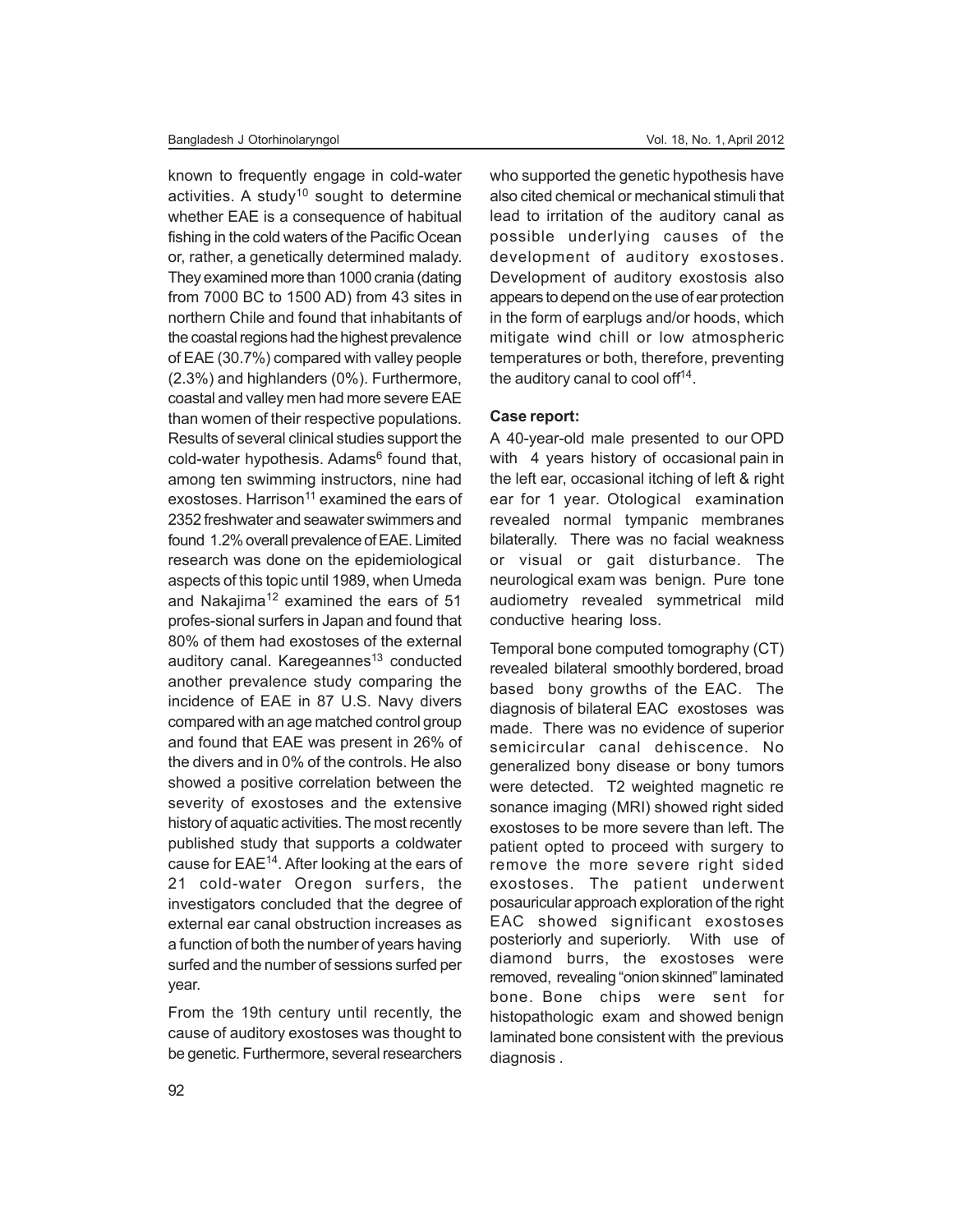known to frequently engage in cold-water activities. A study<sup>10</sup> sought to determine whether EAE is a consequence of habitual fishing in the cold waters of the Pacific Ocean or, rather, a genetically determined malady. They examined more than 1000 crania (dating from 7000 BC to 1500 AD) from 43 sites in northern Chile and found that inhabitants of the coastal regions had the highest prevalence of EAE (30.7%) compared with valley people (2.3%) and highlanders (0%). Furthermore, coastal and valley men had more severe EAE than women of their respective populations. Results of several clinical studies support the cold-water hypothesis. Adams<sup>6</sup> found that, among ten swimming instructors, nine had exostoses. Harrison<sup>11</sup> examined the ears of 2352 freshwater and seawater swimmers and found 1.2% overall prevalence of EAE. Limited research was done on the epidemiological aspects of this topic until 1989, when Umeda and Nakajima<sup>12</sup> examined the ears of  $51$ profes-sional surfers in Japan and found that 80% of them had exostoses of the external auditory canal. Karegeannes<sup>13</sup> conducted another prevalence study comparing the incidence of EAE in 87 U.S. Navy divers compared with an age matched control group and found that EAE was present in 26% of the divers and in 0% of the controls. He also showed a positive correlation between the severity of exostoses and the extensive history of aquatic activities. The most recently published study that supports a coldwater cause for EAE<sup>14</sup>. After looking at the ears of 21 cold-water Oregon surfers, the investigators concluded that the degree of external ear canal obstruction increases as a function of both the number of years having surfed and the number of sessions surfed per year.

From the 19th century until recently, the cause of auditory exostoses was thought to be genetic. Furthermore, several researchers who supported the genetic hypothesis have also cited chemical or mechanical stimuli that lead to irritation of the auditory canal as possible underlying causes of the development of auditory exostoses. Development of auditory exostosis also appears to depend on the use of ear protection in the form of earplugs and/or hoods, which mitigate wind chill or low atmospheric temperatures or both, therefore, preventing the auditory canal to cool off<sup>14</sup>.

#### **Case report:**

A 40-year-old male presented to our OPD with 4 years history of occasional pain in the left ear, occasional itching of left & right ear for 1 year. Otological examination revealed normal tympanic membranes bilaterally. There was no facial weakness or visual or gait disturbance. The neurological exam was benign. Pure tone audiometry revealed symmetrical mild conductive hearing loss.

Temporal bone computed tomography (CT) revealed bilateral smoothly bordered, broad based bony growths of the EAC. The diagnosis of bilateral EAC exostoses was made. There was no evidence of superior semicircular canal dehiscence. No generalized bony disease or bony tumors were detected. T2 weighted magnetic re sonance imaging (MRI) showed right sided exostoses to be more severe than left. The patient opted to proceed with surgery to remove the more severe right sided exostoses. The patient underwent posauricular approach exploration of the right EAC showed significant exostoses posteriorly and superiorly. With use of diamond burrs, the exostoses were removed, revealing "onion skinned" laminated bone. Bone chips were sent for histopathologic exam and showed benign laminated bone consistent with the previous diagnosis .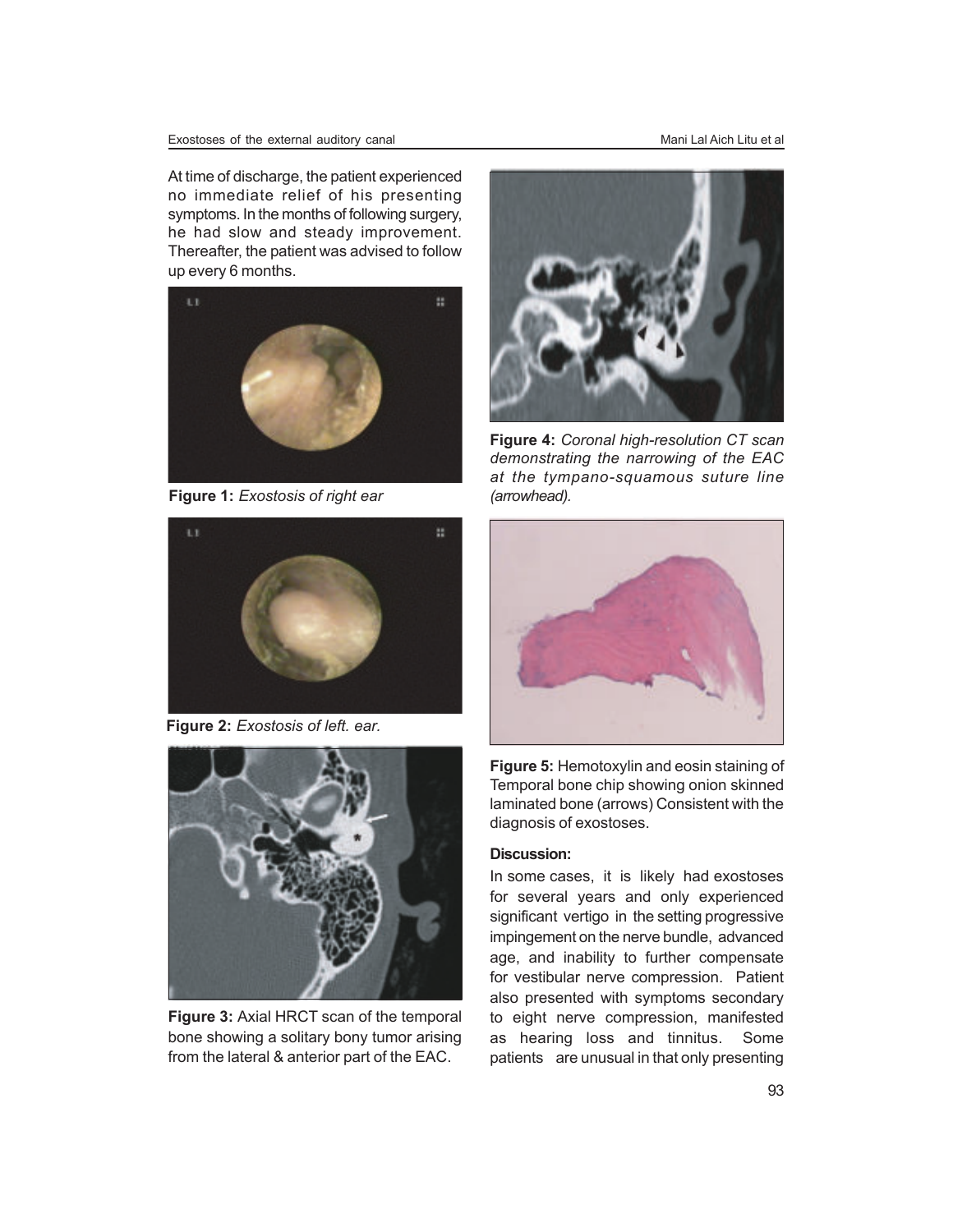At time of discharge, the patient experienced no immediate relief of his presenting symptoms. In the months of following surgery, he had slow and steady improvement. Thereafter, the patient was advised to follow up every 6 months.



**Figure 1:** *Exostosis of right ear*



**Figure 2:** *Exostosis of left. ear.*



**Figure 3:** Axial HRCT scan of the temporal bone showing a solitary bony tumor arising from the lateral & anterior part of the EAC.



**Figure 4:** *Coronal high-resolution CT scan demonstrating the narrowing of the EAC at the tympano-squamous suture line (arrowhead).*



**Figure 5:** Hemotoxylin and eosin staining of Temporal bone chip showing onion skinned laminated bone (arrows) Consistent with the diagnosis of exostoses.

#### **Discussion:**

In some cases, it is likely had exostoses for several years and only experienced significant vertigo in the setting progressive impingement on the nerve bundle, advanced age, and inability to further compensate for vestibular nerve compression. Patient also presented with symptoms secondary to eight nerve compression, manifested as hearing loss and tinnitus. Some patients are unusual in that only presenting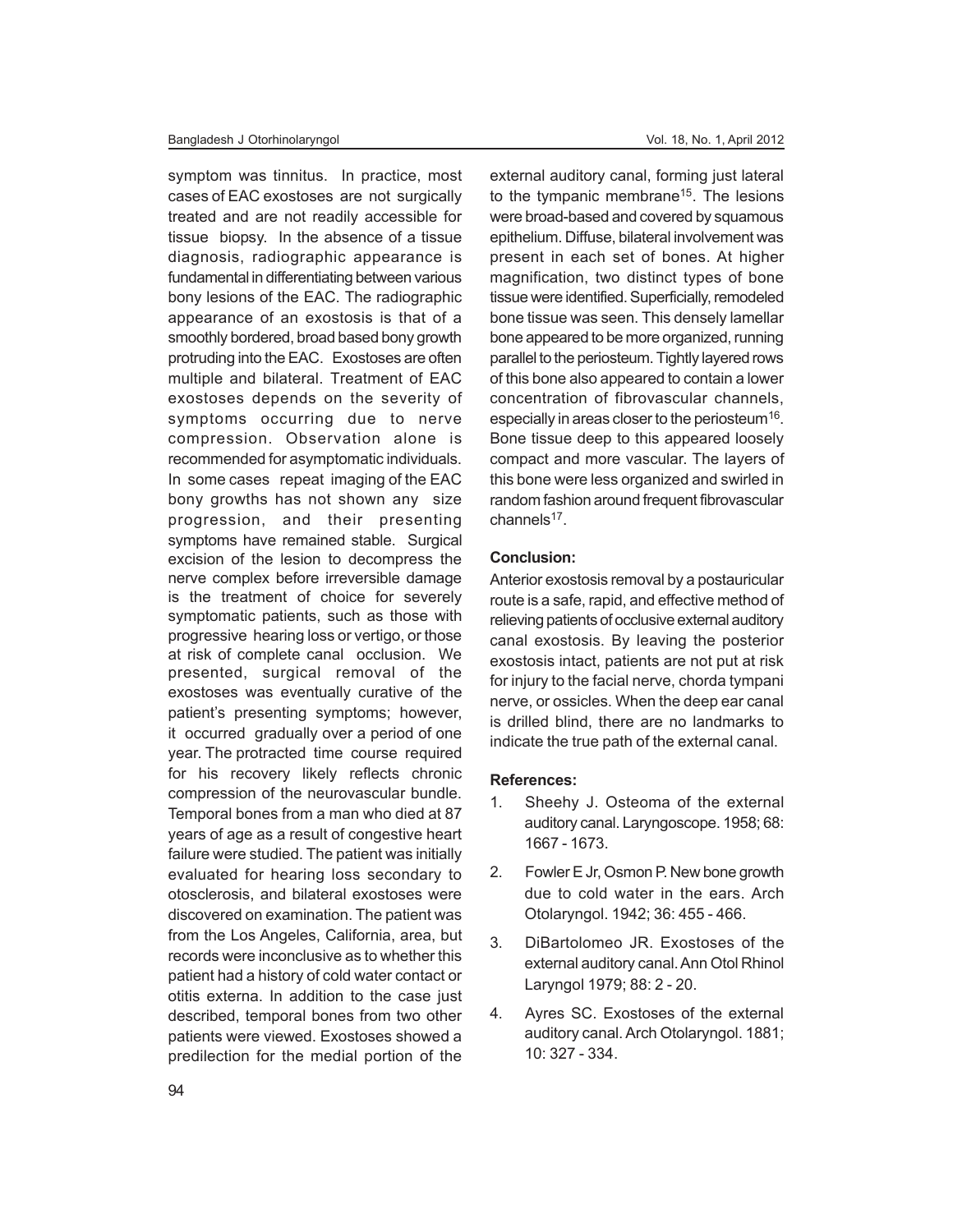symptom was tinnitus. In practice, most cases of EAC exostoses are not surgically treated and are not readily accessible for tissue biopsy. In the absence of a tissue diagnosis, radiographic appearance is fundamental in differentiating between various bony lesions of the EAC. The radiographic appearance of an exostosis is that of a smoothly bordered, broad based bony growth protruding into the EAC. Exostoses are often multiple and bilateral. Treatment of EAC exostoses depends on the severity of symptoms occurring due to nerve compression. Observation alone is recommended for asymptomatic individuals. In some cases repeat imaging of the EAC bony growths has not shown any size progression, and their presenting symptoms have remained stable. Surgical excision of the lesion to decompress the nerve complex before irreversible damage is the treatment of choice for severely symptomatic patients, such as those with progressive hearing loss or vertigo, or those at risk of complete canal occlusion. We presented, surgical removal of the exostoses was eventually curative of the patient's presenting symptoms; however, it occurred gradually over a period of one year. The protracted time course required for his recovery likely reflects chronic compression of the neurovascular bundle. Temporal bones from a man who died at 87 years of age as a result of congestive heart failure were studied. The patient was initially evaluated for hearing loss secondary to otosclerosis, and bilateral exostoses were discovered on examination. The patient was from the Los Angeles, California, area, but records were inconclusive as to whether this patient had a history of cold water contact or otitis externa. In addition to the case just described, temporal bones from two other patients were viewed. Exostoses showed a predilection for the medial portion of the

external auditory canal, forming just lateral to the tympanic membrane<sup>15</sup>. The lesions were broad-based and covered by squamous epithelium. Diffuse, bilateral involvement was present in each set of bones. At higher magnification, two distinct types of bone tissue were identified. Superficially, remodeled bone tissue was seen. This densely lamellar bone appeared to be more organized, running parallel to the periosteum. Tightly layered rows of this bone also appeared to contain a lower concentration of fibrovascular channels, especially in areas closer to the periosteum<sup>16</sup>. Bone tissue deep to this appeared loosely compact and more vascular. The layers of this bone were less organized and swirled in random fashion around frequent fibrovascular channels<sup>17</sup>.

#### **Conclusion:**

Anterior exostosis removal by a postauricular route is a safe, rapid, and effective method of relieving patients of occlusive external auditory canal exostosis. By leaving the posterior exostosis intact, patients are not put at risk for injury to the facial nerve, chorda tympani nerve, or ossicles. When the deep ear canal is drilled blind, there are no landmarks to indicate the true path of the external canal.

#### **References:**

- 1. Sheehy J. Osteoma of the external auditory canal. Laryngoscope. 1958; 68: 1667 - 1673.
- 2. Fowler E Jr, Osmon P. New bone growth due to cold water in the ears. Arch Otolaryngol. 1942; 36: 455 - 466.
- 3. DiBartolomeo JR. Exostoses of the external auditory canal. Ann Otol Rhinol Laryngol 1979; 88: 2 - 20.
- 4. Ayres SC. Exostoses of the external auditory canal. Arch Otolaryngol. 1881; 10: 327 - 334.